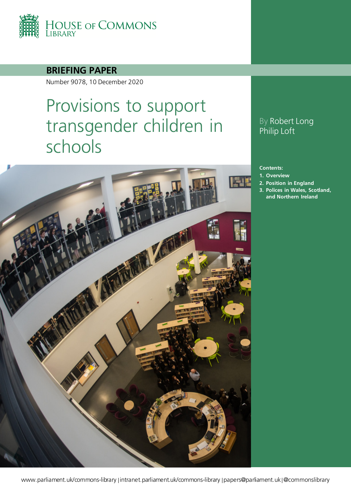

### **BRIEFING PAPER**

Number 9078, 10 December 2020

# Provisions to support transgender children in schools



## By Robert Long Philip Loft

#### **Contents:**

- **1. [Overview](#page-3-0)**
- **2. [Position in England](#page-5-0)**
- **3. [Polices in Wales, Scotland,](#page-10-0)  [and Northern Ireland](#page-10-0)**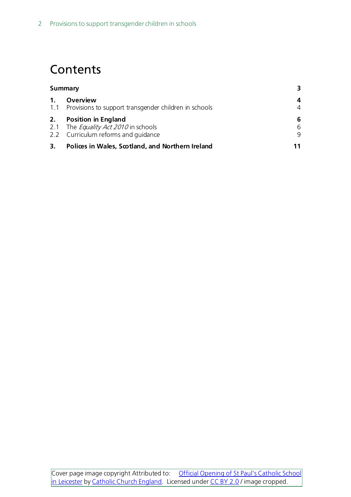## **Contents**

| <b>Summary</b> |                                                                                                           | 3.          |
|----------------|-----------------------------------------------------------------------------------------------------------|-------------|
| 1.             | Overview<br>1.1 Provisions to support transgender children in schools                                     | 4<br>4      |
| 2.             | <b>Position in England</b><br>2.1 The Equality Act 2010 in schools<br>2.2 Curriculum reforms and quidance | 6<br>6<br>9 |
| 3.             | Polices in Wales, Scotland, and Northern Ireland                                                          |             |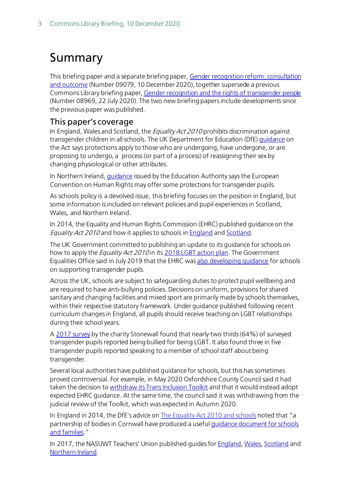## <span id="page-2-0"></span>Summary

This briefing paper and a separate briefing paper[, Gender recognition reform: consultation](https://commonslibrary.parliament.uk/research-briefings/cbp-9079/)  [and outcome](https://commonslibrary.parliament.uk/research-briefings/cbp-9079/) (Number 09079, 10 December 2020), together supersede a previous Commons Library briefing paper[, Gender recognition and the rights of transgender people](https://commonslibrary.parliament.uk/research-briefings/cbp-8969/) (Number 08969, 22 July 2020). The two new briefing papers include developments since the previous paper was published.

#### This paper's coverage

In England, Wales and Scotland, the *Equality Act 2010* prohibits discrimination against transgender children in all schools. The UK Department for Education (DfE[\) guidance](https://www.gov.uk/government/publications/equality-act-2010-advice-for-schools) on the Act says protections apply to those who are undergoing, have undergone, or are proposing to undergo, a process (or part of a process) of reassigning their sex by changing physiological or other attributes.

In Northern Ireland, *guidance* issued by the Education Authority says the European Convention on Human Rights may offer some protections for transgender pupils.

As schools policy is a devolved issue, this briefing focuses on the position in England, but some information is included on relevant policies and pupil experiences in Scotland, Wales, and Northern Ireland.

In 2014, the Equality and Human Rights Commission (EHRC) published guidance on the Equality Act 2010 and how it applies to schools in [England](https://www.equalityhumanrights.com/sites/default/files/technical_guidance_for_schools_england.pdf) and [Scotland.](https://www.equalityhumanrights.com/sites/default/files/equalityact2010-technicalguidance-schoolsinscotland-2015_0.pdf)

The UK Government committed to publishing an update to its guidance for schools on how to apply the *Equality Act 2010* in its [2018 LGBT action plan.](https://assets.publishing.service.gov.uk/government/uploads/system/uploads/attachment_data/file/721367/GEO-LGBT-Action-Plan.pdf) The Government Equalities Office said in July 2019 that the EHRC was [also developing guidance](https://assets.publishing.service.gov.uk/government/uploads/system/uploads/attachment_data/file/814579/20190702__LGBT_Action_Plan__Annual_Report__WESC.pdf) for schools on supporting transgender pupils.

Across the UK, schools are subject to safeguarding duties to protect pupil wellbeing and are required to have anti-bullying policies. Decisions on uniform, provisions for shared sanitary and changing facilities and mixed sport are primarily made by schools themselves, within their respective statutory framework. Under guidance published following recent curriculum changes in England, all pupils should receive teaching on LGBT relationships during their school years.

A [2017 survey](https://www.stonewall.org.uk/school-report-2017) by the charity Stonewall found that nearly two thirds (64%) of surveyed transgender pupils reported being bullied for being LGBT. It also found three in five transgender pupils reported speaking to a member of school staff about being transgender.

Several local authorities have published guidance for schools, but this has sometimes proved controversial. For example, in May 2020 Oxfordshire County Council said it had taken the decision to [withdraw its Trans Inclusion Toolkit](https://news.oxfordshire.gov.uk/statement-on-the-trans-inclusion-toolkit/) and that it would instead adopt expected EHRC guidance. At the same time, the council said it was withdrawing from the judicial review of the Toolkit, which was expected in Autumn 2020.

In England in 2014, the DfE's advice o[n The Equality Act 2010](https://assets.publishing.service.gov.uk/government/uploads/system/uploads/attachment_data/file/315587/Equality_Act_Advice_Final.pdf) and schools noted that "a partnership of bodies in Cornwall have produced a usefu[l guidance document for schools](https://www.cornwall.gov.uk/community-and-living/equality-and-diversity/cornwall-schools-transgender-guidance/#:%7E:text=Cornwall%20Schools%20Transgender%20Guidance%20has,supporting%20Transgender%20pupils%20and%20students.)  [and families.](https://www.cornwall.gov.uk/community-and-living/equality-and-diversity/cornwall-schools-transgender-guidance/#:%7E:text=Cornwall%20Schools%20Transgender%20Guidance%20has,supporting%20Transgender%20pupils%20and%20students.)"

In 2017, the NASUWT Teachers' Union published quides for **[England](https://www.nasuwt.org.uk/uploads/assets/uploaded/085066bb-c224-40de-b79e2a1358801ee9.pdf)[, Wales,](https://www.nasuwt.org.uk/uploads/assets/uploaded/7eff38c5-e967-4b12-9fa0f74b0770fe6d.pdf) [Scotland](https://www.nasuwt.org.uk/asset/05777958-53EF-4161-816CE062FB2B5BC8/) and** [Northern Ireland](https://www.nasuwt.org.uk/uploads/assets/uploaded/432c4f80-4f15-4a14-9a057b73b3cac814.pdf).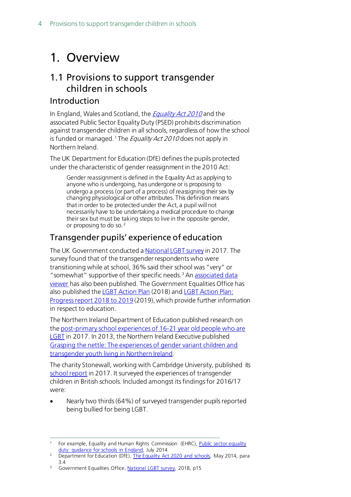## <span id="page-3-0"></span>1. Overview

## <span id="page-3-1"></span>1.1 Provisions to support transgender children in schools

### Introduction

In England, Wales and Scotland, the *[Equality Act 2010](http://www.legislation.gov.uk/ukpga/2010/15/contents)* and the associated Public Sector Equality Duty (PSED) prohibits discrimination against transgender children in all schools, regardless of how the school is funded or managed.<sup>[1](#page-3-2)</sup> The *Equality Act 2010* does not apply in Northern Ireland.

The UK Department for Education (DfE) defines the pupils protected under the characteristic of gender reassignment in the 2010 Act:

Gender reassignment is defined in the Equality Act as applying to anyone who is undergoing, has undergone or is proposing to undergo a process (or part of a process) of reassigning their sex by changing physiological or other attributes. This definition means that in order to be protected under the Act, a pupil will not necessarily have to be undertaking a medical procedure to change their sex but must be taking steps to live in the opposite gender, or proposing to do so. [2](#page-3-3)

### Transgender pupils' experience of education

The UK Government conducted [a National LGBT survey](https://assets.publishing.service.gov.uk/government/uploads/system/uploads/attachment_data/file/722314/GEO-LGBT-Survey-Report.pdf) in 2017. The survey found that of the transgender respondents who were transitioning while at school, 36% said their school was "very" or " somewhat" supportive of their specific needs.<sup>[3](#page-3-4)</sup> An associated data [viewer](https://government-equalities-office.shinyapps.io/lgbt-survey-2017/) has also been published. The Government Equalities Office has also published th[e LGBT Action Plan](https://assets.publishing.service.gov.uk/government/uploads/system/uploads/attachment_data/file/721367/GEO-LGBT-Action-Plan.pdf) (2018) and LGBT Action Plan: [Progress report 2018 to 2019](https://assets.publishing.service.gov.uk/government/uploads/system/uploads/attachment_data/file/814579/20190702__LGBT_Action_Plan__Annual_Report__WESC.pdf) (2019), which provide further information in respect to education.

The Northern Ireland Department of Education published research on the [post-primary school experiences of 16-21 year old people who are](https://www.education-ni.gov.uk/sites/default/files/publications/education/Research%20briefing%20Sep%202017.pdf)  [LGBT](https://www.education-ni.gov.uk/sites/default/files/publications/education/Research%20briefing%20Sep%202017.pdf) in 2017. In 2013, the Northern Ireland Executive published [Grasping the nettle: The experiences of gender variant children and](https://www.executiveoffice-ni.gov.uk/publications/grasping-nettle-experiences-gender-variant-children-and-transgender-youth-living)  [transgender youth living in Northern Ireland.](https://www.executiveoffice-ni.gov.uk/publications/grasping-nettle-experiences-gender-variant-children-and-transgender-youth-living)

The charity Stonewall, working with Cambridge University, published its [school report](https://www.stonewall.org.uk/school-report-2017) in 2017. It surveyed the experiences of transgender children in British schools. Included amongst its findings for 2016/17 were:

• Nearly two thirds (64%) of surveyed transgender pupils reported being bullied for being LGBT.

<span id="page-3-2"></span>For example, Equality and Human Rights Commission (EHRC), Public sector equality duty: quidance for schools in England, July 2014

<span id="page-3-3"></span><sup>&</sup>lt;sup>2</sup> Department for Education (DfE), [The Equality Act 2020 and schools,](https://assets.publishing.service.gov.uk/government/uploads/system/uploads/attachment_data/file/315587/Equality_Act_Advice_Final.pdf) May 2014, para 3.4

<span id="page-3-4"></span><sup>3</sup> Government Equalities Office, [National LGBT survey,](https://assets.publishing.service.gov.uk/government/uploads/system/uploads/attachment_data/file/722314/GEO-LGBT-Survey-Report.pdf) 2018, p15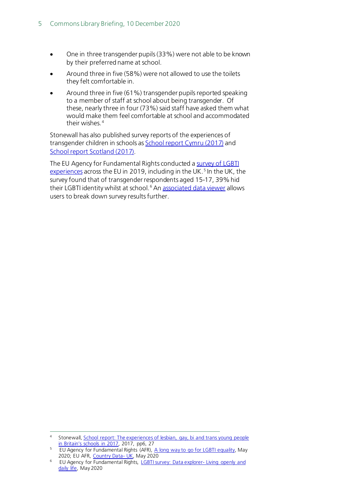- One in three transgender pupils (33%) were not able to be known by their preferred name at school.
- Around three in five (58%) were not allowed to use the toilets they felt comfortable in.
- Around three in five (61%) transgender pupils reported speaking to a member of staff at school about being transgender. Of these, nearly three in four (73%) said staff have asked them what would make them feel comfortable at school and accommodated their wishes.<sup>[4](#page-4-0)</sup>

Stonewall has also published survey reports of the experiences of transgender children in schools a[s School report Cymru](https://www.stonewallcymru.org.uk/schoolreportcymru) (2017) and [School report Scotland](https://www.stonewallscotland.org.uk/scotland-research/education/school-report-scotland) (2017).

The EU Agency for Fundamental Rights conducted [a survey of LGBTI](https://fra.europa.eu/sites/default/files/fra_uploads/fra-2020-lgbti-equality-1_en.pdf)  [experiences](https://fra.europa.eu/sites/default/files/fra_uploads/fra-2020-lgbti-equality-1_en.pdf) across the EU in 2019, including in the UK.<sup>[5](#page-4-1)</sup> In the UK, the survey found that of transgender respondents aged 15-17, 39% hid their LGBTI identity whilst at school.<sup>[6](#page-4-2)</sup> An [associated data viewer](https://fra.europa.eu/en/data-and-maps/2020/lgbti-survey-data-explorer) allows users to break down survey results further.

<span id="page-4-0"></span><sup>4</sup> Stonewall, School report: The experiences of lesbian, gay, bi and trans young people [in Britain's schools in 2017,](https://www.stonewall.org.uk/sites/default/files/the_school_report_2017.pdf) 2017, pp6, 27

<span id="page-4-1"></span><sup>&</sup>lt;sup>5</sup> EU Agency for Fundamental Rights (AFR), [A long way to go for LGBTI equality,](https://fra.europa.eu/en/publication/2020/eu-lgbti-survey-results) May 2020; EU AFR, [Country Data-](https://fra.europa.eu/sites/default/files/fra_uploads/lgbti-survey-country-data_united_kingdom.pdf) UK, May 2020

<span id="page-4-2"></span><sup>6</sup> EU Agency for Fundamental Rights, [LGBTI survey: Data explorer-](https://fra.europa.eu/en/data-and-maps/2020/lgbti-survey-data-explorer) Living openly and [daily life,](https://fra.europa.eu/en/data-and-maps/2020/lgbti-survey-data-explorer) May 2020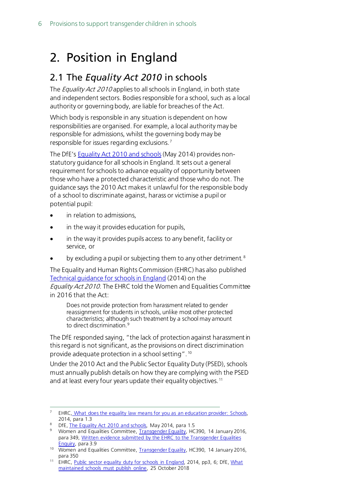## <span id="page-5-0"></span>2. Position in England

## <span id="page-5-1"></span>2.1 The *Equality Act 2010* in schools

The *Equality Act 2010* applies to all schools in England, in both state and independent sectors. Bodies responsible for a school, such as a local authority or governing body, are liable for breaches of the Act.

Which body is responsible in any situation is dependent on how responsibilities are organised. For example, a local authority may be responsible for admissions, whilst the governing body may be responsible for issues regarding exclusions. [7](#page-5-2)

The DfE's [Equality Act 2010](https://www.gov.uk/government/publications/equality-act-2010-advice-for-schools) and schools(May 2014) provides nonstatutory guidance for all schoolsin England. It sets out a general requirement for schools to advance equality of opportunity between those who have a protected characteristic and those who do not. The guidance says the 2010 Act makes it unlawful for the responsible body of a school to discriminate against, harass or victimise a pupil or potential pupil:

- in relation to admissions.
- in the way it provides education for pupils,
- in the way it provides pupils access to any benefit, facility or service, or
- by excluding a pupil or subjecting them to any other detriment.<sup>[8](#page-5-3)</sup>

The Equality and Human Rights Commission (EHRC) has also published [Technical guidance for schools in England](https://www.equalityhumanrights.com/sites/default/files/technical_guidance_for_schools_england.pdf) (2014) on the Equality Act 2010. The EHRC told the Women and Equalities Committee

in 2016 that the Act: Does not provide protection from harassment related to gender

reassignment for students in schools, unlike most other protected characteristics; although such treatment by a school may amount to direct discrimination.<sup>[9](#page-5-4)</sup>

The DfE responded saying, "the lack of protection against harassment in this regard is not significant, as the provisions on direct discrimination provide adequate protection in a school setting". [10](#page-5-5)

Under the 2010 Act and the Public Sector Equality Duty (PSED), schools must annually publish details on how they are complying with the PSED and at least every four years update their equality objectives.<sup>[11](#page-5-6)</sup>

<span id="page-5-2"></span><sup>&</sup>lt;sup>7</sup> EHRC, What does the equality law means for you as an education provider: Schools, 2014, para 1.3

<span id="page-5-3"></span><sup>&</sup>lt;sup>8</sup> DfE, [The Equality Act 2010 and schools,](https://assets.publishing.service.gov.uk/government/uploads/system/uploads/attachment_data/file/315587/Equality_Act_Advice_Final.pdf) May 2014, para 1.5

<span id="page-5-4"></span><sup>&</sup>lt;sup>9</sup> Women and Equalities Committee, [Transgender Equality,](https://publications.parliament.uk/pa/cm201516/cmselect/cmwomeq/390/390.pdf) HC390, 14 January 2016, para 349, Written evidence submitted by the EHRC to the Transgender Equalities [Enquiry,](http://data.parliament.uk/writtenevidence/committeeevidence.svc/evidencedocument/women-and-equalities-committee/transgender-equality/written/19337.pdf) para 3.9

<span id="page-5-5"></span><sup>&</sup>lt;sup>10</sup> Women and Equalities Committee, [Transgender Equality,](https://publications.parliament.uk/pa/cm201516/cmselect/cmwomeq/390/390.pdf) HC390, 14 January 2016, para 350

<span id="page-5-6"></span><sup>&</sup>lt;sup>11</sup> EHRC, Public [sector equality duty for schools in England,](https://www.equalityhumanrights.com/sites/default/files/psed_guide_for_schools_in_england.pdf) 2014, pp3, 6; DfE, What [maintained schools must publish online,](https://www.gov.uk/guidance/what-maintained-schools-must-publish-online#equality-objectives) 25 October 2018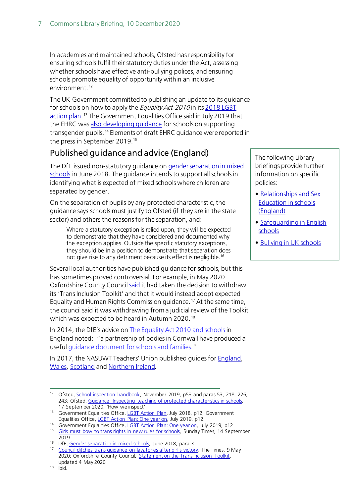In academies and maintained schools, Ofsted has responsibility for ensuring schools fulfil their statutory duties under the Act, assessing whether schools have effective anti-bullying polices, and ensuring schools promote equality of opportunity within an inclusive environment. [12](#page-6-0)

The UK Government committed to publishing an update to its guidance for schools on how to apply the *Equality Act 2010* in its 2018 LGBT [action plan.](https://assets.publishing.service.gov.uk/government/uploads/system/uploads/attachment_data/file/721367/GEO-LGBT-Action-Plan.pdf)<sup>[13](#page-6-1)</sup> The Government Equalities Office said in July 2019 that the EHRC was [also developing guidance](https://assets.publishing.service.gov.uk/government/uploads/system/uploads/attachment_data/file/814579/20190702__LGBT_Action_Plan__Annual_Report__WESC.pdf) for schools on supporting transgender pupils. [14](#page-6-2) Elements of draft EHRC guidance were reported in the press in September 2019.[15](#page-6-3)

## Published guidance and advice (England)

The DfE issued non-statutory guidance o[n gender separation in mixed](https://assets.publishing.service.gov.uk/government/uploads/system/uploads/attachment_data/file/719398/Gender-separation-guidance.pdf?fbclid=IwAR39IL5UlLxmNI2v1s9l8FaljK4QFSQy9AdzBBqozW4UrHycESrfSWtd5rc)  [schools](https://assets.publishing.service.gov.uk/government/uploads/system/uploads/attachment_data/file/719398/Gender-separation-guidance.pdf?fbclid=IwAR39IL5UlLxmNI2v1s9l8FaljK4QFSQy9AdzBBqozW4UrHycESrfSWtd5rc) in June 2018. The guidance intends to support all schools in identifying what is expected of mixed schools where children are separated by gender.

On the separation of pupils by any protected characteristic, the guidance says schools must justify to Ofsted (if they are in the state sector) and others the reasons for the separation, and:

Where a statutory exception is relied upon, they will be expected to demonstrate that they have considered and documented why the exception applies. Outside the specific statutory exceptions, they should be in a position to demonstrate that separation does not give rise to any detriment because its effect is negligible.[16](#page-6-4)

Several local authorities have published guidance for schools, but this has sometimes proved controversial. For example, in May 2020 Oxfordshire County Counci[l said](https://news.oxfordshire.gov.uk/statement-on-the-trans-inclusion-toolkit/) it had taken the decision to withdraw its 'Trans Inclusion Toolkit' and that it would instead adopt expected Equality and Human Rights Commission guidance. [17](#page-6-5) At the same time, the council said it was withdrawing from a judicial review of the Toolkit which was expected to be heard in Autumn 2020.<sup>[18](#page-6-6)</sup>

In 2014, the DfE's advice on [The Equality Act 2010](https://assets.publishing.service.gov.uk/government/uploads/system/uploads/attachment_data/file/315587/Equality_Act_Advice_Final.pdf) and schools in England noted: "a partnership of bodies in Cornwall have produced a useful [guidance document for schools and families.](https://www.cornwall.gov.uk/community-and-living/equality-and-diversity/cornwall-schools-transgender-guidance/#:%7E:text=Cornwall%20Schools%20Transgender%20Guidance%20has,supporting%20Transgender%20pupils%20and%20students.)"

In 2017, the NASUWT Teachers' Union published guides for **England**, [Wales,](https://www.nasuwt.org.uk/uploads/assets/uploaded/7eff38c5-e967-4b12-9fa0f74b0770fe6d.pdf) [Scotland](https://www.nasuwt.org.uk/asset/05777958-53EF-4161-816CE062FB2B5BC8/) an[d Northern Ireland.](https://www.nasuwt.org.uk/uploads/assets/uploaded/432c4f80-4f15-4a14-9a057b73b3cac814.pdf)

The following Library briefings provide further information on specific policies:

- • [Relationships and Sex](https://commonslibrary.parliament.uk/research-briefings/sn06103/)  [Education in schools](https://commonslibrary.parliament.uk/research-briefings/sn06103/)  [\(England\)](https://commonslibrary.parliament.uk/research-briefings/sn06103/)
- • [Safeguarding in English](https://commonslibrary.parliament.uk/research-briefings/cbp-8023/)  [schools](https://commonslibrary.parliament.uk/research-briefings/cbp-8023/)
- **Bullying in UK schools**

<span id="page-6-0"></span><sup>&</sup>lt;sup>12</sup> Ofsted, **School inspection handbook**, November 2019, p53 and paras 53, 218, 226, 243; Ofsted, Guidance: Inspecting teaching of protected characteristics in schools, 17 September 2020, 'How we inspect'

<span id="page-6-1"></span><sup>&</sup>lt;sup>13</sup> Government Equalities Office, [LGBT Action Plan,](https://assets.publishing.service.gov.uk/government/uploads/system/uploads/attachment_data/file/721367/GEO-LGBT-Action-Plan.pdf) July 2018, p12; Government Equalities Office, LGBT Action Plan: One year on, July 2019, p12.

<span id="page-6-3"></span><span id="page-6-2"></span><sup>&</sup>lt;sup>14</sup> Government Equalities Office[, LGBT Action Plan: One year on, July 2019, p1](https://assets.publishing.service.gov.uk/government/uploads/system/uploads/attachment_data/file/814579/20190702__LGBT_Action_Plan__Annual_Report__WESC.pdf)2

<sup>&</sup>lt;sup>15</sup> [Girls must bow to trans rights in new rules for schools,](https://www.thetimes.co.uk/article/8ded83cc-d70d-11e9-9149-9833d870d22d) Sunday Times, 14 September 2019

<span id="page-6-4"></span><sup>&</sup>lt;sup>16</sup> DfE, <u>Gender separation in mixed schools</u>, June 2018, para 3<br><sup>17</sup> Council ditches trans quidance on Javatories after girl's victor

<span id="page-6-6"></span><span id="page-6-5"></span>Council ditches trans quidance on lavatories after girl's victory, The Times, 9 May 2020; Oxfordshire County Council, [Statement on the Trans Inclusion Toolkit,](https://news.oxfordshire.gov.uk/statement-on-the-trans-inclusion-toolkit/)  updated 4 May 2020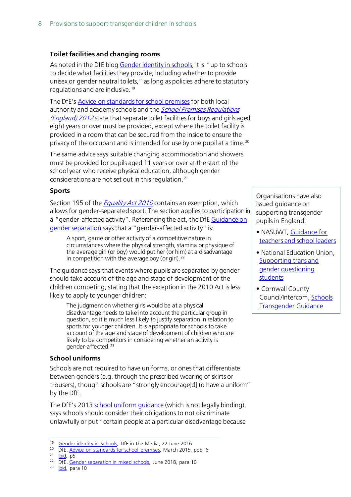#### **Toilet facilities and changing rooms**

As noted in the DfE blog [Gender identity in schools,](https://dfemedia.blog.gov.uk/2016/06/22/gender-identity-in-schools/) it is "up to schools to decide what facilities they provide, including whether to provide unisex or gender neutral toilets," as long as policies adhere to statutory regulations and are inclusive. [19](#page-7-0)

The DfE's [Advice on standards for school premises](https://www.gov.uk/government/publications/standards-for-school-premises) for both local authority and academy schools and the *School Premises Regulations* (*England*) 2012 state that separate toilet facilities for boys and girls aged eight years or over must be provided, except where the toilet facility is provided in a room that can be secured from the inside to ensure the privacy of the occupant and is intended for use by one pupil at a time.<sup>[20](#page-7-1)</sup>

The same advice says suitable changing accommodation and showers must be provided for pupils aged 11 years or over at the start of the school year who receive physical education, although gender considerations are not set out in this regulation. [21](#page-7-2)

#### **Sports**

Section 195 of the *[Equality Act 2010](http://www.legislation.gov.uk/ukpga/2010/15/section/195#:%7E:text=195Sport&text=(1)A%20person%20does%20not,in%20a%20gender%2Daffected%20activity.)* contains an exemption, which allows for gender-separated sport. The section applies to participation in a "gender-affected activity". Referencing the act, the Df[E Guidance on](https://assets.publishing.service.gov.uk/government/uploads/system/uploads/attachment_data/file/719398/Gender-separation-guidance.pdf?fbclid=IwAR39IL5UlLxmNI2v1s9l8FaljK4QFSQy9AdzBBqozW4UrHycESrfSWtd5rc)  [gender separation](https://assets.publishing.service.gov.uk/government/uploads/system/uploads/attachment_data/file/719398/Gender-separation-guidance.pdf?fbclid=IwAR39IL5UlLxmNI2v1s9l8FaljK4QFSQy9AdzBBqozW4UrHycESrfSWtd5rc) says that a "gender-affected activity" is:

A sport, game or other activity of a competitive nature in circumstances where the physical strength, stamina or physique of the average girl (or boy) would put her (or him) at a disadvantage in competition with the average boy (or girl).<sup>22</sup>

The guidance says that events where pupils are separated by gender should take account of the age and stage of development of the children competing, stating that the exception in the 2010 Act is less likely to apply to younger children:

The judgment on whether girls would be at a physical disadvantage needs to take into account the particular group in question, so it is much less likely to justify separation in relation to sports for younger children. It is appropriate for schools to take account of the age and stage of development of children who are likely to be competitors in considering whether an activity is gender-affected. [23](#page-7-4)

#### **School uniforms**

Schools are not required to have uniforms, or ones that differentiate between genders (e.g. through the prescribed wearing of skirts or trousers), though schools are "strongly encourage[d] to have a uniform" by the DfE.

The DfE's 201[3 school uniform](https://assets.publishing.service.gov.uk/government/uploads/system/uploads/attachment_data/file/514978/School_Uniform_Guidance.pdf) guidance (which is not legally binding), says schools should consider their obligations to not discriminate unlawfully or put "certain people at a particular disadvantage because

- <span id="page-7-1"></span><span id="page-7-0"></span><sup>20</sup> DfE, Advice on standards for school premises</u>, March 2015, pp5, 6
- <span id="page-7-2"></span> $21$  [Ibid,](https://assets.publishing.service.gov.uk/government/uploads/system/uploads/attachment_data/file/410294/Advice_on_standards_for_school_premises.pdf) p5
- <span id="page-7-3"></span><sup>22</sup> DfE, [Gender separation in mixed schools,](https://assets.publishing.service.gov.uk/government/uploads/system/uploads/attachment_data/file/719398/Gender-separation-guidance.pdf?fbclid=IwAR39IL5UlLxmNI2v1s9l8FaljK4QFSQy9AdzBBqozW4UrHycESrfSWtd5rc) June 2018, para 10<br><sup>23</sup> Ibid. para 10

<span id="page-7-4"></span>[Ibid,](https://assets.publishing.service.gov.uk/government/uploads/system/uploads/attachment_data/file/719398/Gender-separation-guidance.pdf) para 10

Organisations have also issued guidance on supporting transgender pupils in England:

- NASUWT, [Guidance for](https://www.nasuwt.org.uk/uploads/assets/uploaded/085066bb-c224-40de-b79e2a1358801ee9.pdf)  [teachers and school leaders](https://www.nasuwt.org.uk/uploads/assets/uploaded/085066bb-c224-40de-b79e2a1358801ee9.pdf)
- National Education Union, [Supporting trans and](https://neu.org.uk/advice/supporting-trans-and-gender-questioning-students)  [gender questioning](https://neu.org.uk/advice/supporting-trans-and-gender-questioning-students)  [students](https://neu.org.uk/advice/supporting-trans-and-gender-questioning-students)
- Cornwall County Council/Intercom[, Schools](https://www.cornwall.gov.uk/community-and-living/equality-and-diversity/cornwall-schools-transgender-guidance/#:%7E:text=Cornwall%20Schools%20Transgender%20Guidance%20has,supporting%20Transgender%20pupils%20and%20students.)  [Transgender Guidance](https://www.cornwall.gov.uk/community-and-living/equality-and-diversity/cornwall-schools-transgender-guidance/#:%7E:text=Cornwall%20Schools%20Transgender%20Guidance%20has,supporting%20Transgender%20pupils%20and%20students.)

<sup>&</sup>lt;sup>19</sup> [Gender identity in Schools,](https://dfemedia.blog.gov.uk/2016/06/22/gender-identity-in-schools/) DfE in the Media, 22 June 2016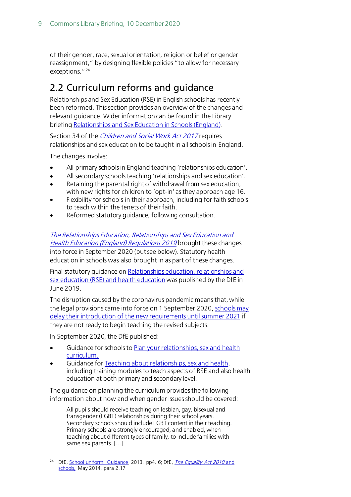of their gender, race, sexual orientation, religion or belief or gender reassignment," by designing flexible policies "to allow for necessary exceptions."<sup>[24](#page-8-1)</sup>

## <span id="page-8-0"></span>2.2 Curriculum reforms and guidance

Relationships and Sex Education (RSE) in English schools has recently been reformed. This section provides an overview of the changes and relevant guidance. Wider information can be found in the Library briefin[g Relationships and Sex Education in Schools \(England\).](https://commonslibrary.parliament.uk/research-briefings/sn06103/)

Section 34 of the *[Children and Social Work Act 2017](http://www.legislation.gov.uk/ukpga/2017/16/section/34/enacted)* requires relationships and sex education to be taught in all schools in England.

The changes involve:

- All primary schools in England teaching 'relationships education'.
- All secondary schools teaching 'relationships and sex education'.
- Retaining the parental right of withdrawal from sex education, with new rights for children to 'opt-in' as they approach age 16.
- Flexibility for schools in their approach, including for faith schools to teach within the tenets of their faith.
- Reformed statutory quidance, following consultation.

[The Relationships Education, Relationships and Sex Education and](http://www.legislation.gov.uk/uksi/2019/924/introduction/made)  [Health Education \(England\) Regulations 2019](http://www.legislation.gov.uk/uksi/2019/924/introduction/made) brought these changes into force in September 2020 (but see below). Statutory health education in schools was also brought in as part of these changes.

Final statutory guidance on Relationships education, relationships and [sex education \(RSE\) and health education](https://www.gov.uk/government/publications/relationships-education-relationships-and-sex-education-rse-and-health-education) was published by the DfE in June 2019.

The disruption caused by the coronavirus pandemic means that, while the legal provisions came into force on 1 September 2020[, schools may](https://www.gov.uk/government/publications/relationships-education-relationships-and-sex-education-rse-and-health-education/implementation-of-relationships-education-relationships-and-sex-education-and-health-education-2020-to-2021)  [delay their introduction of the new requirements until summer 2021](https://www.gov.uk/government/publications/relationships-education-relationships-and-sex-education-rse-and-health-education/implementation-of-relationships-education-relationships-and-sex-education-and-health-education-2020-to-2021) if they are not ready to begin teaching the revised subjects.

In September 2020, the DfE published:

- Guidance for schools to [Plan your relationships, sex and health](https://www.gov.uk/guidance/plan-your-relationships-sex-and-health-curriculum?utm_source=f1af0bc9-e7cf-49c9-af96-52b7b4bbfddd&utm_medium=email&utm_campaign=govuk-notifications&utm_content=daily)  [curriculum.](https://www.gov.uk/guidance/plan-your-relationships-sex-and-health-curriculum?utm_source=f1af0bc9-e7cf-49c9-af96-52b7b4bbfddd&utm_medium=email&utm_campaign=govuk-notifications&utm_content=daily)
- Guidance for [Teaching about relationships, sex and health,](https://www.gov.uk/guidance/teaching-about-relationships-sex-and-health) including training modules to teach aspects of RSE and also health education at both primary and secondary level.

The guidance on planning the curriculum provides the following information about how and when gender issues should be covered:

All pupils should receive teaching on lesbian, gay, bisexual and transgender (LGBT) relationships during their school years. Secondary schools should include LGBT content in their teaching. Primary schools are strongly encouraged, and enabled, when teaching about different types of family, to include families with same sex parents. […]

<span id="page-8-1"></span><sup>&</sup>lt;sup>24</sup> DfE, [School uniform:](https://assets.publishing.service.gov.uk/government/uploads/system/uploads/attachment_data/file/514978/School_Uniform_Guidance.pdf) Guidance, 2013, pp4, 6; DfE, *[The Equality Act 2010](https://assets.publishing.service.gov.uk/government/uploads/system/uploads/attachment_data/file/315587/Equality_Act_Advice_Final.pdf)* and [schools,](https://assets.publishing.service.gov.uk/government/uploads/system/uploads/attachment_data/file/315587/Equality_Act_Advice_Final.pdf) May 2014, para 2.17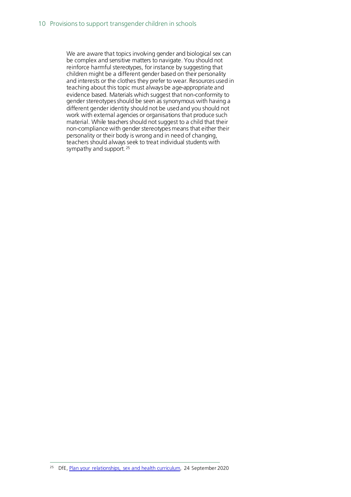We are aware that topics involving gender and biological sex can be complex and sensitive matters to navigate. You should not reinforce harmful stereotypes, for instance by suggesting that children might be a different gender based on their personality and interests or the clothes they prefer to wear. Resources used in teaching about this topic must always be age-appropriate and evidence based. Materials which suggest that non-conformity to gender stereotypes should be seen as synonymous with having a different gender identity should not be used and you should not work with external agencies or organisations that produce such material. While teachers should not suggest to a child that their non-compliance with gender stereotypes means that either their personality or their body is wrong and in need of changing, teachers should always seek to treat individual students with sympathy and support.<sup>[25](#page-9-0)</sup>

<span id="page-9-0"></span><sup>25</sup> DfE, [Plan your relationships, sex and health curriculum,](https://www.gov.uk/guidance/plan-your-relationships-sex-and-health-curriculum?utm_source=f1af0bc9-e7cf-49c9-af96-52b7b4bbfddd&utm_medium=email&utm_campaign=govuk-notifications&utm_content=daily) 24 September 2020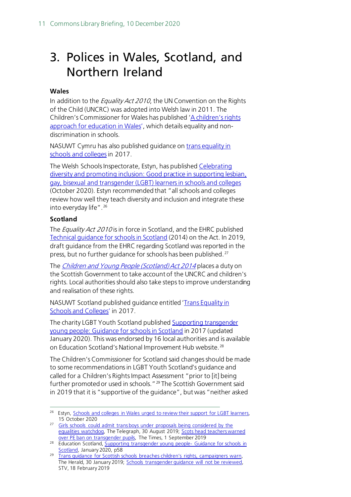## <span id="page-10-0"></span>3. Polices in Wales, Scotland, and Northern Ireland

#### **Wales**

In addition to the *Equality Act 2010*, the UN Convention on the Rights of the Child (UNCRC) was adopted into Welsh law in 2011. The Children's Commissioner for Wales has published 'A children's rights [approach for education in Wales'](https://www.childcomwales.org.uk/wp-content/uploads/2017/05/The-Right-Way-Education.pdf), which details equality and nondiscrimination in schools.

NASUWT Cymru has also published guidance o[n trans equality in](https://www.nasuwt.org.uk/uploads/assets/uploaded/7eff38c5-e967-4b12-9fa0f74b0770fe6d.pdf)  [schools and colleges](https://www.nasuwt.org.uk/uploads/assets/uploaded/7eff38c5-e967-4b12-9fa0f74b0770fe6d.pdf) in 2017.

The Welsh Schools Inspectorate, Estyn, has published [Celebrating](https://www.estyn.gov.wales/system/files/2020-10/Celebrating_diversity_and_promoting_inclusion_en.pdf)  [diversity and promoting inclusion: Good practice in supporting lesbian,](https://www.estyn.gov.wales/system/files/2020-10/Celebrating_diversity_and_promoting_inclusion_en.pdf)  [gay, bisexual and transgender \(LGBT\) learners in schools and colleges](https://www.estyn.gov.wales/system/files/2020-10/Celebrating_diversity_and_promoting_inclusion_en.pdf)  (October 2020). Estyn recommended that "all schools and colleges review how well they teach diversity and inclusion and integrate these into everyday life". [26](#page-10-1)

#### **Scotland**

The *Equality Act 2010* is in force in Scotland, and the EHRC published [Technical guidance for schools in Scotland](https://www.equalityhumanrights.com/sites/default/files/equalityact2010-technicalguidance-schoolsinscotland-2015_0.pdf) (2014) on the Act. In 2019, draft guidance from the EHRC regarding Scotland was reported in the press, but no further guidance for schools has been published. [27](#page-10-2)

The [Children and Young People \(Scotland\) Act 2014](http://www.legislation.gov.uk/asp/2014/8/contents/enacted) places a duty on the Scottish Government to take account of the UNCRC and children's rights. Local authorities should also take steps to improve understanding and realisation of these rights.

NASUWT Scotland published guidance entitled ['Trans Equality in](https://www.nasuwt.org.uk/asset/05777958-53EF-4161-816CE062FB2B5BC8/)  [Schools and Colleges'](https://www.nasuwt.org.uk/asset/05777958-53EF-4161-816CE062FB2B5BC8/) in 2017.

The charity LGBT Youth Scotland publishe[d Supporting transgender](https://education.gov.scot/improvement/learning-resources/supporting-transgender-young-people-guidance-for-schools-in-scotland/)  [young people: Guidance for schools in Scotland](https://education.gov.scot/improvement/learning-resources/supporting-transgender-young-people-guidance-for-schools-in-scotland/) in 2017 (updated January 2020). This was endorsed by 16 local authorities and is available on Education Scotland's National Improvement Hub website.<sup>[28](#page-10-3)</sup>

The Children's Commissioner for Scotland said changes should be made to some recommendations in LGBT Youth Scotland's guidance and called for a Children's Rights Impact Assessment "prior to [it] being further promoted or used in schools."<sup>[29](#page-10-4)</sup> The Scottish Government said in 2019 that it is "supportive of the guidance", but was "neither asked

<span id="page-10-1"></span><sup>&</sup>lt;sup>26</sup> Estyn, [Schools and colleges in Wales urged to review their support for LGBT learners,](https://www.estyn.gov.wales/news/schools-and-colleges-wales-urged-review-their-support-lgbt-learners) 15 October 2020

<span id="page-10-2"></span><sup>&</sup>lt;sup>27</sup> Girls schools could admit trans boys under proposals being considered by the [equalities watchdog,](https://www.telegraph.co.uk/news/2019/08/30/girls-schools-could-admit-trans-boys-proposals-considered-equalities/) The Telegraph, 30 August 2019; Scots head teachers warned [over PE ban on transgender pupils,](https://www.thetimes.co.uk/article/scots-head-teachers-warned-over-pe-ban-on-transgender-pupils-qht028l09) The Times, 1 September 2019

<span id="page-10-3"></span><sup>28</sup> Education Scotland, [Supporting transgender young people-](https://education.gov.scot/improvement/learning-resources/supporting-transgender-young-people-guidance-for-schools-in-scotland/) Guidance for schools in [Scotland,](https://education.gov.scot/improvement/learning-resources/supporting-transgender-young-people-guidance-for-schools-in-scotland/) January 2020, p58

<span id="page-10-4"></span><sup>29</sup> [Trans guidance for Scottish schools breaches children's rights, campaigners warn,](https://www.heraldscotland.com/news/17393697.trans-guidance-for-scottish-schools-breaches-11-childrens-rights-campaigners-warn/) The Herald, 30 January 2019; [Schools transgender guidance will not be reviewed,](https://news.stv.tv/politics/1435632-school-transgender-guidelines-will-not-be-reviewed?top) STV, 18 February 2019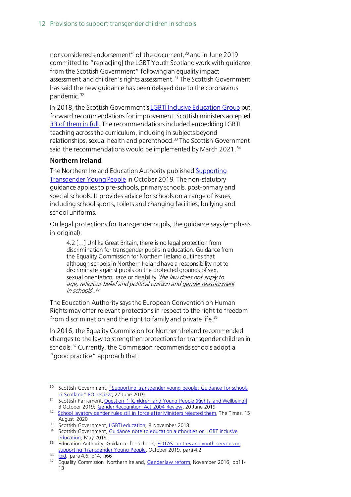nor considered endorsement" of the document, <sup>[30](#page-11-0)</sup> and in June 2019 committed to "replac[ing] the LGBT Youth Scotland work with guidance from the Scottish Government" following an equality impact assessment and children's rights assessment.<sup>[31](#page-11-1)</sup> The Scottish Government has said the new guidance has been delayed due to the coronavirus pandemic. [32](#page-11-2)

In 2018, the Scottish Government'[s LGBTI Inclusive Education Group](https://www.gov.scot/groups/lgbt-inclusive-education-implementation-group/) put forward recommendations for improvement. Scottish ministers accepted [33 of them in full.](https://www.gov.scot/publications/lgbti-inclusive-education-working-group-report/pages/3/) The recommendations included embedding LGBTI teaching across the curriculum, including in subjects beyond relationships, sexual health and parenthood.<sup>33</sup> The Scottish Government said the recommendations would be implemented by March 2021.<sup>[34](#page-11-4)</sup>

#### **Northern Ireland**

The Northern Ireland Education Authority publishe[d Supporting](https://www.eani.org.uk/school-management/policies-and-guidance/supporting-transgender-young-people)  [Transgender Young People](https://www.eani.org.uk/school-management/policies-and-guidance/supporting-transgender-young-people) in October 2019. The non-statutory guidance applies to pre-schools, primary schools, post-primary and special schools. It provides advice for schools on a range of issues, including school sports, toilets and changing facilities, bullying and school uniforms.

On legal protections for transgender pupils, the guidance says(emphasis in original):

4.2 [...] Unlike Great Britain, there is no legal protection from discrimination for transgender pupils in education. Guidance from the Equality Commission for Northern Ireland outlines that although schools in Northern Ireland have a responsibility not to discriminate against pupils on the protected grounds of sex, sexual orientation, race or disability 'the law does not apply to age, religious belief and political opinion and gender reassignment  $in$  schools'.  $35$ 

The Education Authority says the European Convention on Human Rights may offer relevant protections in respect to the right to freedom from discrimination and the right to family and private life.<sup>36</sup>

In 2016, the Equality Commission for Northern Ireland recommended changes to the law to strengthen protections for transgender children in schools.<sup>[37](#page-11-7)</sup> Currently, the Commission recommends schools adopt a "good practice" approach that:

<span id="page-11-0"></span><sup>&</sup>lt;sup>30</sup> Scottish Government[, "Supporting transgender young people: Guidance for schools](https://www.gov.scot/publications/foi-19-00998-review/) in Scotland" FOI review, 27 June 2019

<span id="page-11-1"></span><sup>31</sup> Scottish Parliament[, Question 1 \[Children and Young People \(Rights and Wellbeing\)\]](http://www.parliament.scot/parliamentarybusiness/report.aspx?r=12293&mode=html#iob_111126) 3 October 2019; [Gender Recognition Act 2004 Review,](http://www.parliament.scot/parliamentarybusiness/report.aspx?r=12196&mode=html#iob_110214) 20 June 2019

<span id="page-11-2"></span><sup>&</sup>lt;sup>32</sup> [School lavatory gender rules still in force after Ministers rejected them,](https://www.thetimes.co.uk/article/school-lavatory-gender-rules-still-in-force-after-ministers-rejected-them-lq9v9xxxt) The Times, 15 August 2020

<sup>33</sup> Scottish Government[, LGBTI education,](https://www.gov.scot/news/lgbti-education/) 8 November 2018

<span id="page-11-4"></span><span id="page-11-3"></span><sup>&</sup>lt;sup>34</sup> Scottish Government, Guidance note to education authorities on LGBT inclusive [education,](https://www.gov.scot/publications/lgbt-inclusive-education-guidance-to-education-authorities-may-2019/) May 2019.

<span id="page-11-5"></span><sup>35</sup> Education Authority, Guidance for Schools, **EOTAS centres and youth services on** [supporting Transgender Young People,](https://www.eani.org.uk/sites/default/files/2019-10/EA%20Guidance%20on%20supporting%20transgender%20young%20people_FINALFINAL_24.10.19.pdf) October 2019, para 4.2

<span id="page-11-6"></span><sup>36</sup> **Ibid**, para 4.6, p14, n66

<span id="page-11-7"></span><sup>&</sup>lt;sup>37</sup> Equality Commission Northern Ireland, [Gender law reform,](https://www.equalityni.org/ECNI/media/ECNI/Publications/Delivering%20Equality/GenderLawReform-SummaryReport.pdf) November 2016, pp11-13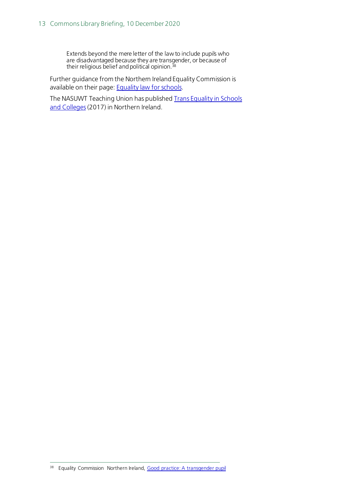Extends beyond the mere letter of the law to include pupils who are disadvantaged because they are transgender, or because of their religious belief and political opinion.<sup>[38](#page-12-0)</sup>

Further guidance from the Northern Ireland Equality Commission is available on their page[: Equality law for schools.](https://www.equalityni.org/Schools)

<span id="page-12-0"></span>The NASUWT Teaching Union has published Trans Equality in Schools and Colleges (2017) in Northern Ireland.